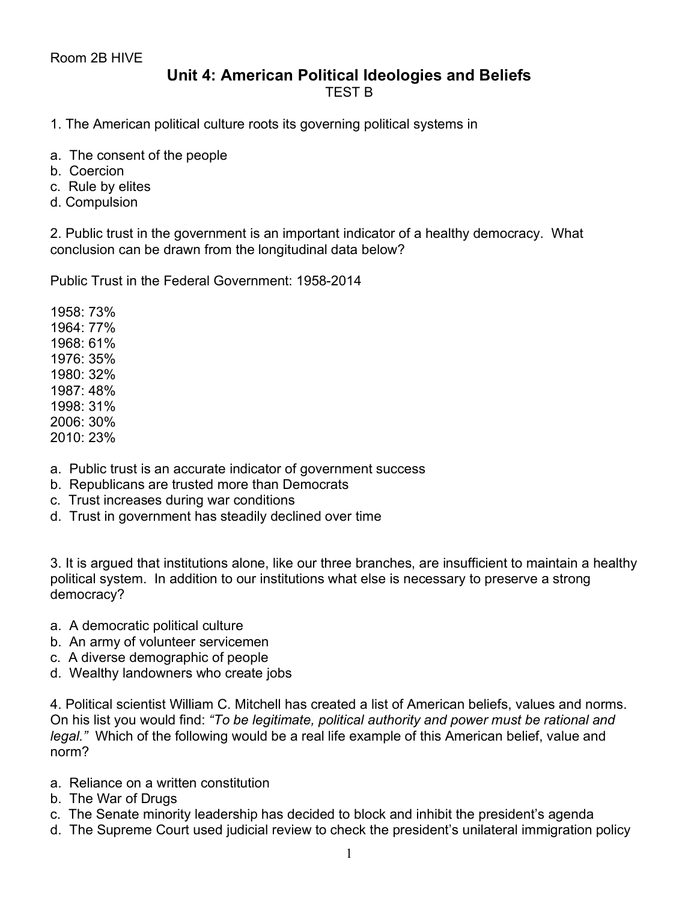## **Unit 4: American Political Ideologies and Beliefs** TEST B

- 1. The American political culture roots its governing political systems in
- a. The consent of the people
- b. Coercion
- c. Rule by elites
- d. Compulsion

2. Public trust in the government is an important indicator of a healthy democracy. What conclusion can be drawn from the longitudinal data below?

Public Trust in the Federal Government: 1958-2014

1958: 73% 1964: 77% 1968: 61% 1976: 35% 1980: 32% 1987: 48% 1998: 31% 2006: 30% 2010: 23%

- a. Public trust is an accurate indicator of government success
- b. Republicans are trusted more than Democrats
- c. Trust increases during war conditions
- d. Trust in government has steadily declined over time

3. It is argued that institutions alone, like our three branches, are insufficient to maintain a healthy political system. In addition to our institutions what else is necessary to preserve a strong democracy?

- a. A democratic political culture
- b. An army of volunteer servicemen
- c. A diverse demographic of people
- d. Wealthy landowners who create jobs

4. Political scientist William C. Mitchell has created a list of American beliefs, values and norms. On his list you would find: *"To be legitimate, political authority and power must be rational and legal."* Which of the following would be a real life example of this American belief, value and norm?

- a. Reliance on a written constitution
- b. The War of Drugs
- c. The Senate minority leadership has decided to block and inhibit the president's agenda
- d. The Supreme Court used judicial review to check the president's unilateral immigration policy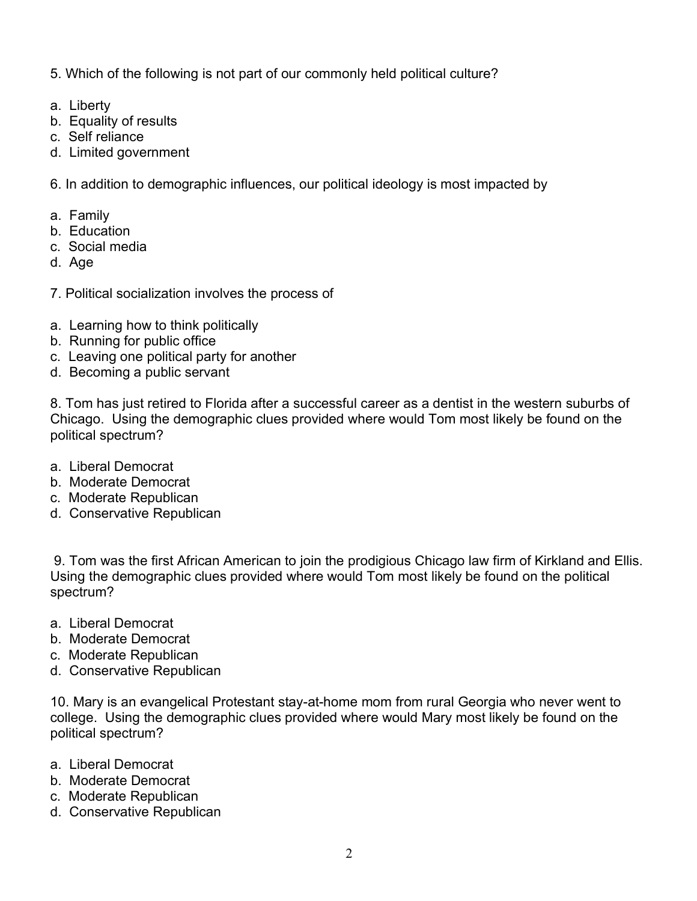5. Which of the following is not part of our commonly held political culture?

- a. Liberty
- b. Equality of results
- c. Self reliance
- d. Limited government

6. In addition to demographic influences, our political ideology is most impacted by

- a. Family
- b. Education
- c. Social media
- d. Age
- 7. Political socialization involves the process of
- a. Learning how to think politically
- b. Running for public office
- c. Leaving one political party for another
- d. Becoming a public servant

8. Tom has just retired to Florida after a successful career as a dentist in the western suburbs of Chicago. Using the demographic clues provided where would Tom most likely be found on the political spectrum?

- a. Liberal Democrat
- b. Moderate Democrat
- c. Moderate Republican
- d. Conservative Republican

9. Tom was the first African American to join the prodigious Chicago law firm of Kirkland and Ellis. Using the demographic clues provided where would Tom most likely be found on the political spectrum?

- a. Liberal Democrat
- b. Moderate Democrat
- c. Moderate Republican
- d. Conservative Republican

10. Mary is an evangelical Protestant stay-at-home mom from rural Georgia who never went to college. Using the demographic clues provided where would Mary most likely be found on the political spectrum?

- a. Liberal Democrat
- b. Moderate Democrat
- c. Moderate Republican
- d. Conservative Republican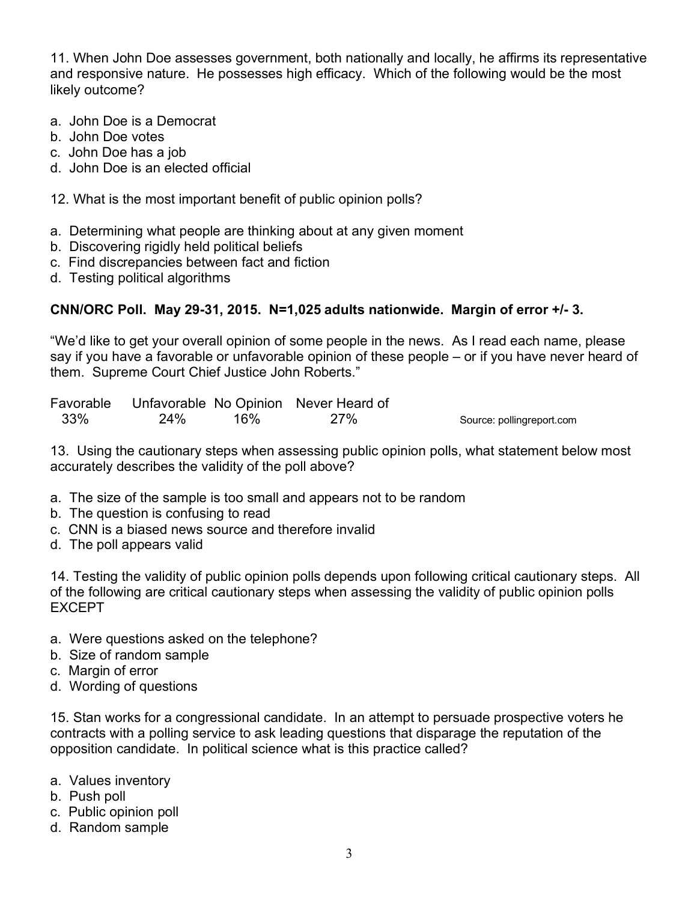11. When John Doe assesses government, both nationally and locally, he affirms its representative and responsive nature. He possesses high efficacy. Which of the following would be the most likely outcome?

- a. John Doe is a Democrat
- b. John Doe votes
- c. John Doe has a job
- d. John Doe is an elected official
- 12. What is the most important benefit of public opinion polls?
- a. Determining what people are thinking about at any given moment
- b. Discovering rigidly held political beliefs
- c. Find discrepancies between fact and fiction
- d. Testing political algorithms

## **CNN/ORC Poll. May 29-31, 2015. N=1,025 adults nationwide. Margin of error +/- 3.**

"We'd like to get your overall opinion of some people in the news. As I read each name, please say if you have a favorable or unfavorable opinion of these people – or if you have never heard of them. Supreme Court Chief Justice John Roberts."

| Favorable |     |     | Unfavorable No Opinion Never Heard of |                           |
|-----------|-----|-----|---------------------------------------|---------------------------|
| 33%       | 24% | 16% | <b>27%</b>                            | Source: pollingreport.com |

13. Using the cautionary steps when assessing public opinion polls, what statement below most accurately describes the validity of the poll above?

- a. The size of the sample is too small and appears not to be random
- b. The question is confusing to read
- c. CNN is a biased news source and therefore invalid
- d. The poll appears valid

14. Testing the validity of public opinion polls depends upon following critical cautionary steps. All of the following are critical cautionary steps when assessing the validity of public opinion polls EXCEPT

- a. Were questions asked on the telephone?
- b. Size of random sample
- c. Margin of error
- d. Wording of questions

15. Stan works for a congressional candidate. In an attempt to persuade prospective voters he contracts with a polling service to ask leading questions that disparage the reputation of the opposition candidate. In political science what is this practice called?

- a. Values inventory
- b. Push poll
- c. Public opinion poll
- d. Random sample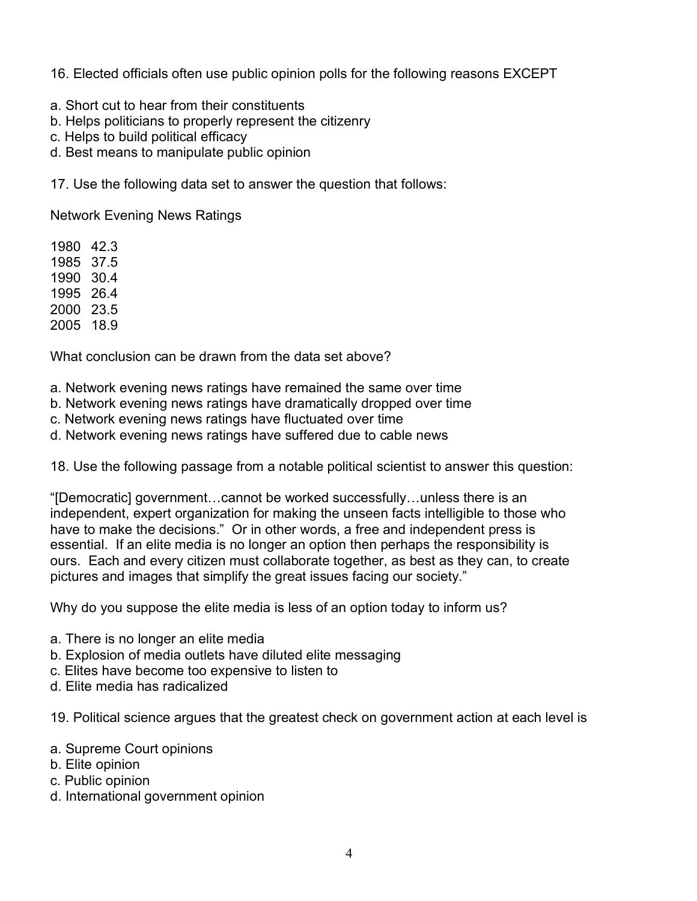16. Elected officials often use public opinion polls for the following reasons EXCEPT

- a. Short cut to hear from their constituents
- b. Helps politicians to properly represent the citizenry
- c. Helps to build political efficacy
- d. Best means to manipulate public opinion

17. Use the following data set to answer the question that follows:

Network Evening News Ratings

1980 42.3 1985 37.5 1990 30.4 1995 26.4 2000 23.5 2005 18.9

What conclusion can be drawn from the data set above?

- a. Network evening news ratings have remained the same over time
- b. Network evening news ratings have dramatically dropped over time
- c. Network evening news ratings have fluctuated over time
- d. Network evening news ratings have suffered due to cable news

18. Use the following passage from a notable political scientist to answer this question:

"[Democratic] government…cannot be worked successfully…unless there is an independent, expert organization for making the unseen facts intelligible to those who have to make the decisions." Or in other words, a free and independent press is essential. If an elite media is no longer an option then perhaps the responsibility is ours. Each and every citizen must collaborate together, as best as they can, to create pictures and images that simplify the great issues facing our society."

Why do you suppose the elite media is less of an option today to inform us?

- a. There is no longer an elite media
- b. Explosion of media outlets have diluted elite messaging
- c. Elites have become too expensive to listen to
- d. Elite media has radicalized

19. Political science argues that the greatest check on government action at each level is

- a. Supreme Court opinions
- b. Elite opinion
- c. Public opinion
- d. International government opinion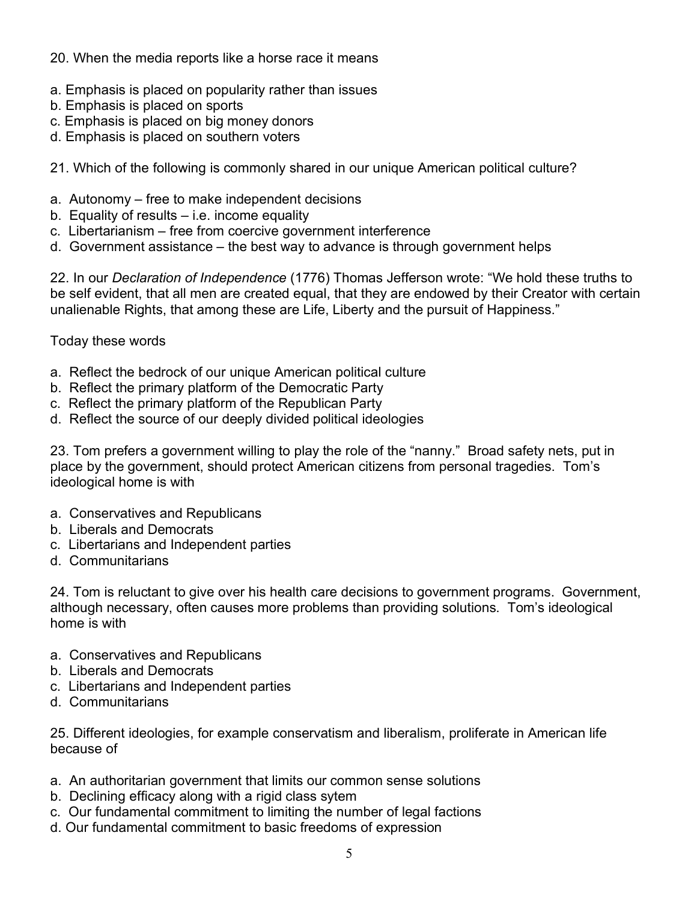## 20. When the media reports like a horse race it means

- a. Emphasis is placed on popularity rather than issues
- b. Emphasis is placed on sports
- c. Emphasis is placed on big money donors
- d. Emphasis is placed on southern voters
- 21. Which of the following is commonly shared in our unique American political culture?
- a. Autonomy free to make independent decisions
- b. Equality of results i.e. income equality
- c. Libertarianism free from coercive government interference
- d. Government assistance the best way to advance is through government helps

22. In our *Declaration of Independence* (1776) Thomas Jefferson wrote: "We hold these truths to be self evident, that all men are created equal, that they are endowed by their Creator with certain unalienable Rights, that among these are Life, Liberty and the pursuit of Happiness."

Today these words

- a. Reflect the bedrock of our unique American political culture
- b. Reflect the primary platform of the Democratic Party
- c. Reflect the primary platform of the Republican Party
- d. Reflect the source of our deeply divided political ideologies

23. Tom prefers a government willing to play the role of the "nanny." Broad safety nets, put in place by the government, should protect American citizens from personal tragedies. Tom's ideological home is with

- a. Conservatives and Republicans
- b. Liberals and Democrats
- c. Libertarians and Independent parties
- d. Communitarians

24. Tom is reluctant to give over his health care decisions to government programs. Government, although necessary, often causes more problems than providing solutions. Tom's ideological home is with

- a. Conservatives and Republicans
- b. Liberals and Democrats
- c. Libertarians and Independent parties
- d. Communitarians

25. Different ideologies, for example conservatism and liberalism, proliferate in American life because of

- a. An authoritarian government that limits our common sense solutions
- b. Declining efficacy along with a rigid class sytem
- c. Our fundamental commitment to limiting the number of legal factions
- d. Our fundamental commitment to basic freedoms of expression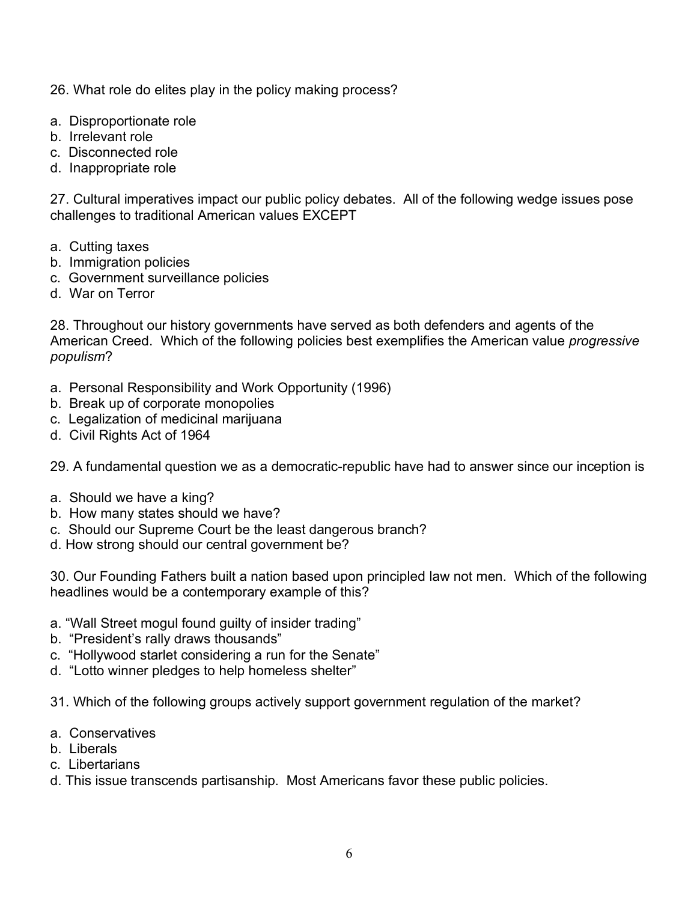26. What role do elites play in the policy making process?

- a. Disproportionate role
- b. Irrelevant role
- c. Disconnected role
- d. Inappropriate role

27. Cultural imperatives impact our public policy debates. All of the following wedge issues pose challenges to traditional American values EXCEPT

- a. Cutting taxes
- b. Immigration policies
- c. Government surveillance policies
- d. War on Terror

28. Throughout our history governments have served as both defenders and agents of the American Creed. Which of the following policies best exemplifies the American value *progressive populism*?

- a. Personal Responsibility and Work Opportunity (1996)
- b. Break up of corporate monopolies
- c. Legalization of medicinal marijuana
- d. Civil Rights Act of 1964

29. A fundamental question we as a democratic-republic have had to answer since our inception is

- a. Should we have a king?
- b. How many states should we have?
- c. Should our Supreme Court be the least dangerous branch?
- d. How strong should our central government be?

30. Our Founding Fathers built a nation based upon principled law not men. Which of the following headlines would be a contemporary example of this?

- a. "Wall Street mogul found guilty of insider trading"
- b. "President's rally draws thousands"
- c. "Hollywood starlet considering a run for the Senate"
- d. "Lotto winner pledges to help homeless shelter"
- 31. Which of the following groups actively support government regulation of the market?
- a. Conservatives
- b. Liberals
- c. Libertarians
- d. This issue transcends partisanship. Most Americans favor these public policies.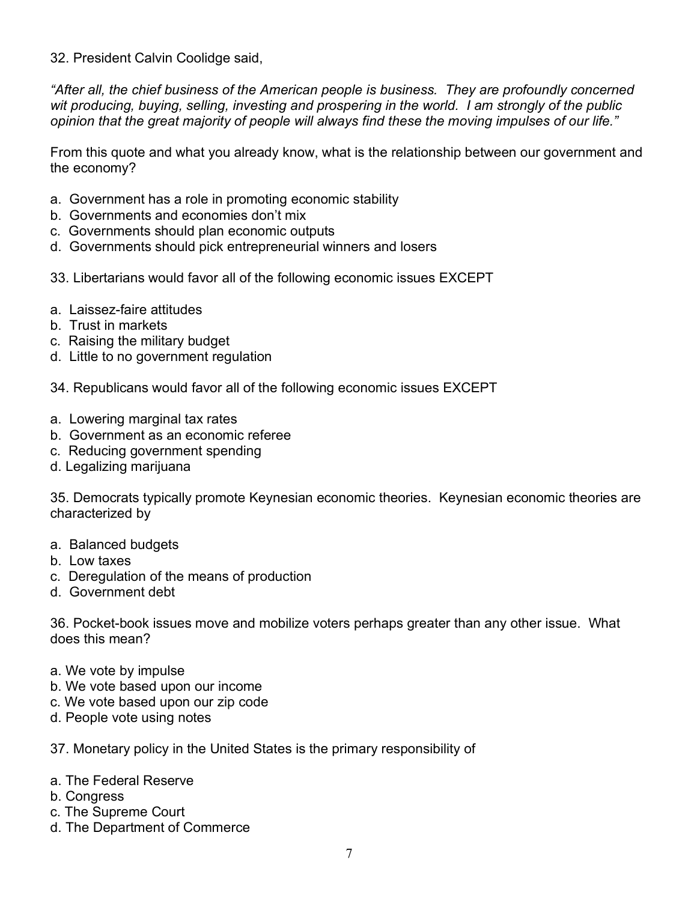32. President Calvin Coolidge said,

*"After all, the chief business of the American people is business. They are profoundly concerned wit producing, buying, selling, investing and prospering in the world. I am strongly of the public opinion that the great majority of people will always find these the moving impulses of our life."*

From this quote and what you already know, what is the relationship between our government and the economy?

- a. Government has a role in promoting economic stability
- b. Governments and economies don't mix
- c. Governments should plan economic outputs
- d. Governments should pick entrepreneurial winners and losers
- 33. Libertarians would favor all of the following economic issues EXCEPT
- a. Laissez-faire attitudes
- b. Trust in markets
- c. Raising the military budget
- d. Little to no government regulation
- 34. Republicans would favor all of the following economic issues EXCEPT
- a. Lowering marginal tax rates
- b. Government as an economic referee
- c. Reducing government spending
- d. Legalizing marijuana

35. Democrats typically promote Keynesian economic theories. Keynesian economic theories are characterized by

- a. Balanced budgets
- b. Low taxes
- c. Deregulation of the means of production
- d. Government debt

36. Pocket-book issues move and mobilize voters perhaps greater than any other issue. What does this mean?

- a. We vote by impulse
- b. We vote based upon our income
- c. We vote based upon our zip code
- d. People vote using notes

37. Monetary policy in the United States is the primary responsibility of

## a. The Federal Reserve

- b. Congress
- c. The Supreme Court
- d. The Department of Commerce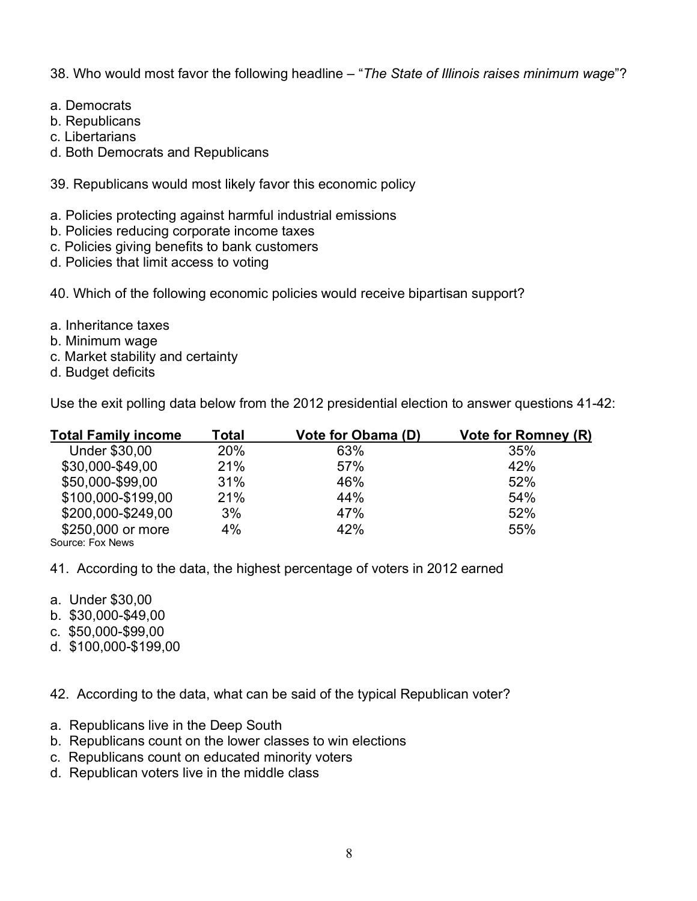38. Who would most favor the following headline – "*The State of Illinois raises minimum wage*"?

- a. Democrats
- b. Republicans
- c. Libertarians
- d. Both Democrats and Republicans
- 39. Republicans would most likely favor this economic policy
- a. Policies protecting against harmful industrial emissions
- b. Policies reducing corporate income taxes
- c. Policies giving benefits to bank customers
- d. Policies that limit access to voting
- 40. Which of the following economic policies would receive bipartisan support?
- a. Inheritance taxes
- b. Minimum wage
- c. Market stability and certainty
- d. Budget deficits

Use the exit polling data below from the 2012 presidential election to answer questions 41-42:

| <b>Total Family income</b> | Total      | <b>Vote for Obama (D)</b> | Vote for Romney (R) |
|----------------------------|------------|---------------------------|---------------------|
| <b>Under \$30,00</b>       | <b>20%</b> | 63%                       | 35%                 |
| \$30,000-\$49,00           | 21%        | 57%                       | 42%                 |
| \$50,000-\$99,00           | 31%        | 46%                       | 52%                 |
| \$100,000-\$199,00         | 21%        | 44%                       | 54%                 |
| \$200,000-\$249,00         | 3%         | 47%                       | 52%                 |
| \$250,000 or more          | 4%         | 42%                       | 55%                 |
| Source: Fox News           |            |                           |                     |

41. According to the data, the highest percentage of voters in 2012 earned

- a. Under \$30,00
- b. \$30,000-\$49,00
- c. \$50,000-\$99,00
- d. \$100,000-\$199,00

42. According to the data, what can be said of the typical Republican voter?

- a. Republicans live in the Deep South
- b. Republicans count on the lower classes to win elections
- c. Republicans count on educated minority voters
- d. Republican voters live in the middle class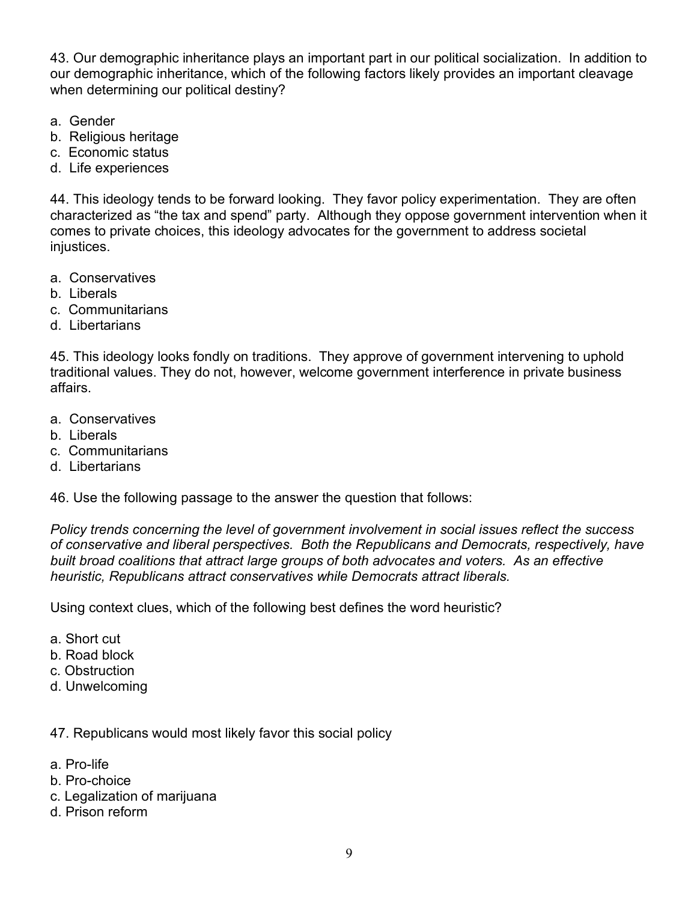43. Our demographic inheritance plays an important part in our political socialization. In addition to our demographic inheritance, which of the following factors likely provides an important cleavage when determining our political destiny?

- a. Gender
- b. Religious heritage
- c. Economic status
- d. Life experiences

44. This ideology tends to be forward looking. They favor policy experimentation. They are often characterized as "the tax and spend" party. Although they oppose government intervention when it comes to private choices, this ideology advocates for the government to address societal injustices.

- a. Conservatives
- b. Liberals
- c. Communitarians
- d. Libertarians

45. This ideology looks fondly on traditions. They approve of government intervening to uphold traditional values. They do not, however, welcome government interference in private business affairs.

- a. Conservatives
- b. Liberals
- c. Communitarians
- d. Libertarians

46. Use the following passage to the answer the question that follows:

*Policy trends concerning the level of government involvement in social issues reflect the success of conservative and liberal perspectives. Both the Republicans and Democrats, respectively, have built broad coalitions that attract large groups of both advocates and voters. As an effective heuristic, Republicans attract conservatives while Democrats attract liberals.* 

Using context clues, which of the following best defines the word heuristic?

- a. Short cut
- b. Road block
- c. Obstruction
- d. Unwelcoming

47. Republicans would most likely favor this social policy

- a. Pro-life
- b. Pro-choice
- c. Legalization of marijuana
- d. Prison reform